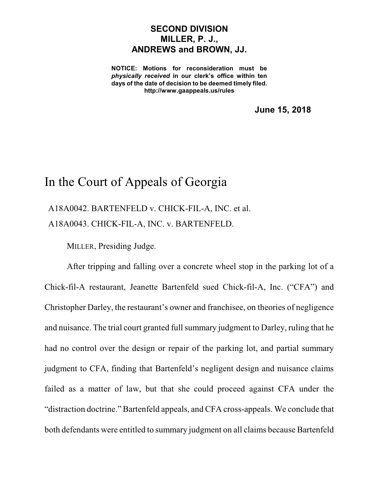## **SECOND DIVISION MILLER, P. J., ANDREWS and BROWN, JJ.**

**NOTICE: Motions for reconsideration must be** *physically received* **in our clerk's office within ten days of the date of decision to be deemed timely filed. http://www.gaappeals.us/rules**

**June 15, 2018**

# In the Court of Appeals of Georgia

A18A0042. BARTENFELD v. CHICK-FIL-A, INC. et al. A18A0043. CHICK-FIL-A, INC. v. BARTENFELD.

MILLER, Presiding Judge.

After tripping and falling over a concrete wheel stop in the parking lot of a Chick-fil-A restaurant, Jeanette Bartenfeld sued Chick-fil-A, Inc. ("CFA") and Christopher Darley, the restaurant's owner and franchisee, on theories of negligence and nuisance. The trial court granted full summary judgment to Darley, ruling that he had no control over the design or repair of the parking lot, and partial summary judgment to CFA, finding that Bartenfeld's negligent design and nuisance claims failed as a matter of law, but that she could proceed against CFA under the "distraction doctrine." Bartenfeld appeals, and CFA cross-appeals. We conclude that both defendants were entitled to summary judgment on all claims because Bartenfeld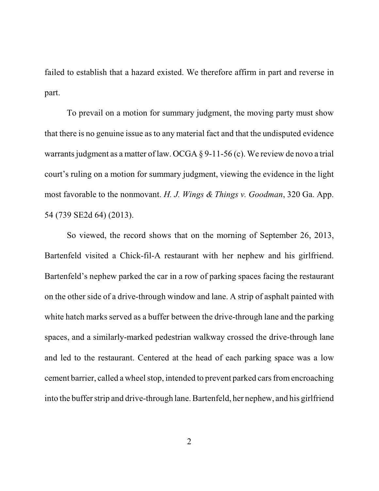failed to establish that a hazard existed. We therefore affirm in part and reverse in part.

To prevail on a motion for summary judgment, the moving party must show that there is no genuine issue asto any material fact and that the undisputed evidence warrants judgment as a matter of law. OCGA  $\S$  9-11-56 (c). We review de novo a trial court's ruling on a motion for summary judgment, viewing the evidence in the light most favorable to the nonmovant. *H. J. Wings & Things v. Goodman*, 320 Ga. App. 54 (739 SE2d 64) (2013).

So viewed, the record shows that on the morning of September 26, 2013, Bartenfeld visited a Chick-fil-A restaurant with her nephew and his girlfriend. Bartenfeld's nephew parked the car in a row of parking spaces facing the restaurant on the other side of a drive-through window and lane. A strip of asphalt painted with white hatch marks served as a buffer between the drive-through lane and the parking spaces, and a similarly-marked pedestrian walkway crossed the drive-through lane and led to the restaurant. Centered at the head of each parking space was a low cement barrier, called a wheel stop, intended to prevent parked cars from encroaching into the buffer strip and drive-through lane. Bartenfeld, her nephew, and his girlfriend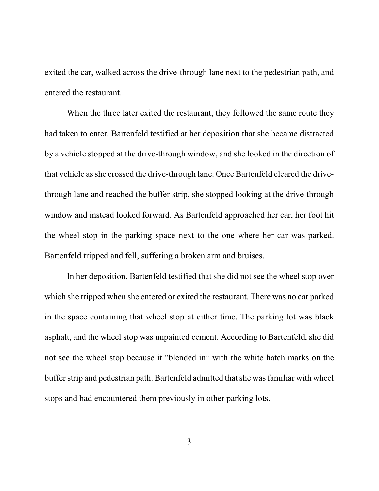exited the car, walked across the drive-through lane next to the pedestrian path, and entered the restaurant.

When the three later exited the restaurant, they followed the same route they had taken to enter. Bartenfeld testified at her deposition that she became distracted by a vehicle stopped at the drive-through window, and she looked in the direction of that vehicle asshe crossed the drive-through lane. Once Bartenfeld cleared the drivethrough lane and reached the buffer strip, she stopped looking at the drive-through window and instead looked forward. As Bartenfeld approached her car, her foot hit the wheel stop in the parking space next to the one where her car was parked. Bartenfeld tripped and fell, suffering a broken arm and bruises.

In her deposition, Bartenfeld testified that she did not see the wheel stop over which she tripped when she entered or exited the restaurant. There was no car parked in the space containing that wheel stop at either time. The parking lot was black asphalt, and the wheel stop was unpainted cement. According to Bartenfeld, she did not see the wheel stop because it "blended in" with the white hatch marks on the buffer strip and pedestrian path. Bartenfeld admitted that she was familiar with wheel stops and had encountered them previously in other parking lots.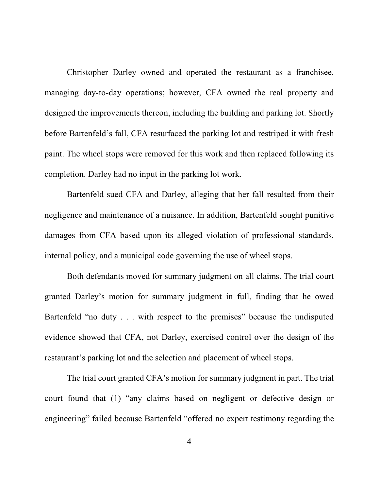Christopher Darley owned and operated the restaurant as a franchisee, managing day-to-day operations; however, CFA owned the real property and designed the improvements thereon, including the building and parking lot. Shortly before Bartenfeld's fall, CFA resurfaced the parking lot and restriped it with fresh paint. The wheel stops were removed for this work and then replaced following its completion. Darley had no input in the parking lot work.

Bartenfeld sued CFA and Darley, alleging that her fall resulted from their negligence and maintenance of a nuisance. In addition, Bartenfeld sought punitive damages from CFA based upon its alleged violation of professional standards, internal policy, and a municipal code governing the use of wheel stops.

Both defendants moved for summary judgment on all claims. The trial court granted Darley's motion for summary judgment in full, finding that he owed Bartenfeld "no duty . . . with respect to the premises" because the undisputed evidence showed that CFA, not Darley, exercised control over the design of the restaurant's parking lot and the selection and placement of wheel stops.

The trial court granted CFA's motion for summary judgment in part. The trial court found that (1) "any claims based on negligent or defective design or engineering" failed because Bartenfeld "offered no expert testimony regarding the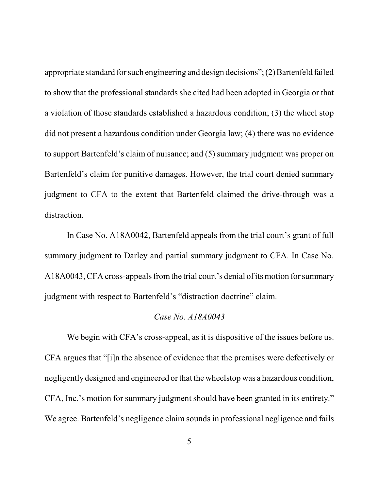appropriate standard for such engineering and design decisions";  $(2)$  Bartenfeld failed to show that the professional standards she cited had been adopted in Georgia or that a violation of those standards established a hazardous condition; (3) the wheel stop did not present a hazardous condition under Georgia law; (4) there was no evidence to support Bartenfeld's claim of nuisance; and (5) summary judgment was proper on Bartenfeld's claim for punitive damages. However, the trial court denied summary judgment to CFA to the extent that Bartenfeld claimed the drive-through was a distraction.

In Case No. A18A0042, Bartenfeld appeals from the trial court's grant of full summary judgment to Darley and partial summary judgment to CFA. In Case No. A18A0043, CFA cross-appeals from the trial court's denial of its motion for summary judgment with respect to Bartenfeld's "distraction doctrine" claim.

#### *Case No. A18A0043*

We begin with CFA's cross-appeal, as it is dispositive of the issues before us. CFA argues that "[i]n the absence of evidence that the premises were defectively or negligently designed and engineered or that the wheelstop was a hazardous condition, CFA, Inc.'s motion for summary judgment should have been granted in its entirety." We agree. Bartenfeld's negligence claim sounds in professional negligence and fails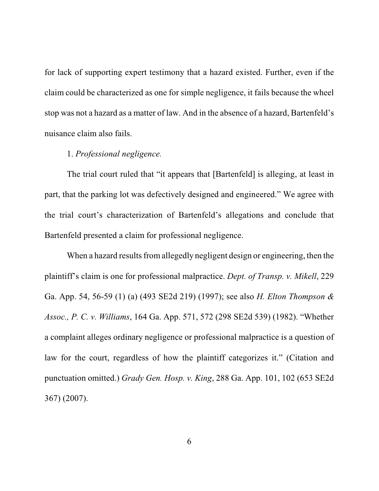for lack of supporting expert testimony that a hazard existed. Further, even if the claim could be characterized as one for simple negligence, it fails because the wheel stop was not a hazard as a matter of law. And in the absence of a hazard, Bartenfeld's nuisance claim also fails.

## 1. *Professional negligence.*

The trial court ruled that "it appears that [Bartenfeld] is alleging, at least in part, that the parking lot was defectively designed and engineered." We agree with the trial court's characterization of Bartenfeld's allegations and conclude that Bartenfeld presented a claim for professional negligence.

When a hazard results from allegedly negligent design or engineering, then the plaintiff's claim is one for professional malpractice. *Dept. of Transp. v. Mikell*, 229 Ga. App. 54, 56-59 (1) (a) (493 SE2d 219) (1997); see also *H. Elton Thompson & Assoc., P. C. v. Williams*, 164 Ga. App. 571, 572 (298 SE2d 539) (1982). "Whether a complaint alleges ordinary negligence or professional malpractice is a question of law for the court, regardless of how the plaintiff categorizes it." (Citation and punctuation omitted.) *Grady Gen. Hosp. v. King*, 288 Ga. App. 101, 102 (653 SE2d 367) (2007).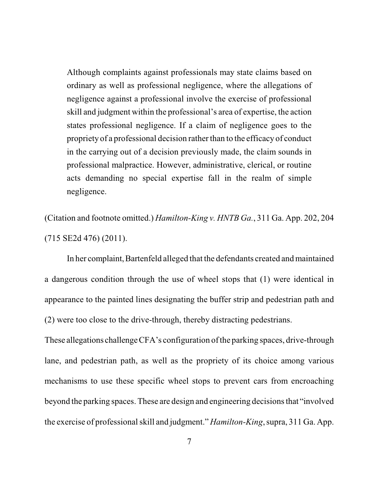Although complaints against professionals may state claims based on ordinary as well as professional negligence, where the allegations of negligence against a professional involve the exercise of professional skill and judgment within the professional's area of expertise, the action states professional negligence. If a claim of negligence goes to the propriety of a professional decision rather than to the efficacy of conduct in the carrying out of a decision previously made, the claim sounds in professional malpractice. However, administrative, clerical, or routine acts demanding no special expertise fall in the realm of simple negligence.

(Citation and footnote omitted.) *Hamilton-King v. HNTB Ga.*, 311 Ga. App. 202, 204 (715 SE2d 476) (2011).

In her complaint, Bartenfeld alleged that the defendants created and maintained a dangerous condition through the use of wheel stops that (1) were identical in appearance to the painted lines designating the buffer strip and pedestrian path and (2) were too close to the drive-through, thereby distracting pedestrians.

These allegations challenge CFA's configuration of the parking spaces, drive-through lane, and pedestrian path, as well as the propriety of its choice among various mechanisms to use these specific wheel stops to prevent cars from encroaching beyond the parking spaces. These are design and engineering decisionsthat "involved the exercise of professionalskill and judgment." *Hamilton-King*, supra, 311 Ga. App.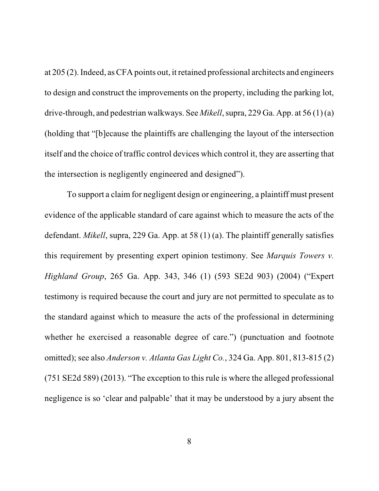at 205 (2). Indeed, asCFA points out, it retained professional architects and engineers to design and construct the improvements on the property, including the parking lot, drive-through, and pedestrian walkways. See *Mikell*, supra, 229 Ga. App. at 56 (1) (a) (holding that "[b]ecause the plaintiffs are challenging the layout of the intersection itself and the choice of traffic control devices which control it, they are asserting that the intersection is negligently engineered and designed").

To support a claim for negligent design or engineering, a plaintiff must present evidence of the applicable standard of care against which to measure the acts of the defendant. *Mikell*, supra, 229 Ga. App. at 58 (1) (a). The plaintiff generally satisfies this requirement by presenting expert opinion testimony. See *Marquis Towers v. Highland Group*, 265 Ga. App. 343, 346 (1) (593 SE2d 903) (2004) ("Expert testimony is required because the court and jury are not permitted to speculate as to the standard against which to measure the acts of the professional in determining whether he exercised a reasonable degree of care.") (punctuation and footnote omitted); see also *Anderson v. Atlanta Gas Light Co.*, 324 Ga. App. 801, 813-815 (2) (751 SE2d 589) (2013). "The exception to this rule is where the alleged professional negligence is so 'clear and palpable' that it may be understood by a jury absent the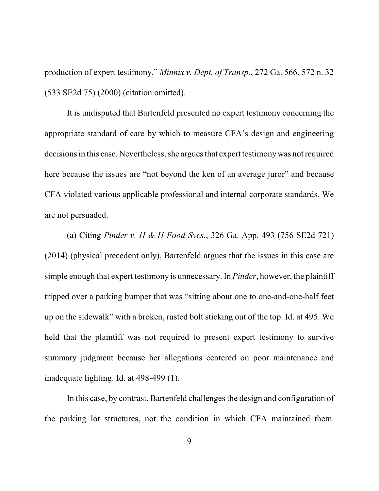production of expert testimony." *Minnix v. Dept. of Transp.*, 272 Ga. 566, 572 n. 32 (533 SE2d 75) (2000) (citation omitted).

It is undisputed that Bartenfeld presented no expert testimony concerning the appropriate standard of care by which to measure CFA's design and engineering decisions in this case. Nevertheless, she argues that expert testimony was not required here because the issues are "not beyond the ken of an average juror" and because CFA violated various applicable professional and internal corporate standards. We are not persuaded.

(a) Citing *Pinder v. H & H Food Svcs.*, 326 Ga. App. 493 (756 SE2d 721) (2014) (physical precedent only), Bartenfeld argues that the issues in this case are simple enough that expert testimony is unnecessary. In *Pinder*, however, the plaintiff tripped over a parking bumper that was "sitting about one to one-and-one-half feet up on the sidewalk" with a broken, rusted bolt sticking out of the top. Id. at 495. We held that the plaintiff was not required to present expert testimony to survive summary judgment because her allegations centered on poor maintenance and inadequate lighting. Id. at 498-499 (1).

In this case, by contrast, Bartenfeld challenges the design and configuration of the parking lot structures, not the condition in which CFA maintained them.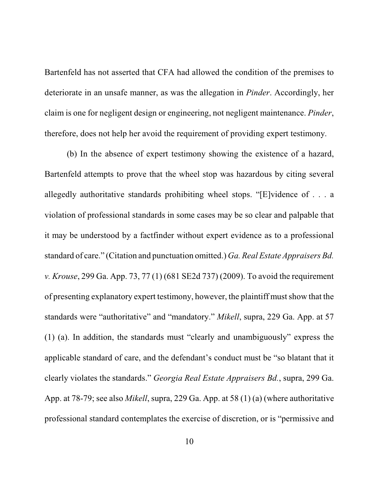Bartenfeld has not asserted that CFA had allowed the condition of the premises to deteriorate in an unsafe manner, as was the allegation in *Pinder*. Accordingly, her claim is one for negligent design or engineering, not negligent maintenance. *Pinder*, therefore, does not help her avoid the requirement of providing expert testimony.

(b) In the absence of expert testimony showing the existence of a hazard, Bartenfeld attempts to prove that the wheel stop was hazardous by citing several allegedly authoritative standards prohibiting wheel stops. "[E]vidence of . . . a violation of professional standards in some cases may be so clear and palpable that it may be understood by a factfinder without expert evidence as to a professional standard of care." (Citation and punctuation omitted.) *Ga. Real Estate Appraisers Bd. v. Krouse*, 299 Ga. App. 73, 77 (1) (681 SE2d 737) (2009). To avoid the requirement of presenting explanatory expert testimony, however, the plaintiff mustshow that the standards were "authoritative" and "mandatory." *Mikell*, supra, 229 Ga. App. at 57 (1) (a). In addition, the standards must "clearly and unambiguously" express the applicable standard of care, and the defendant's conduct must be "so blatant that it clearly violates the standards." *Georgia Real Estate Appraisers Bd.*, supra, 299 Ga. App. at 78-79; see also *Mikell*, supra, 229 Ga. App. at 58 (1) (a) (where authoritative professional standard contemplates the exercise of discretion, or is "permissive and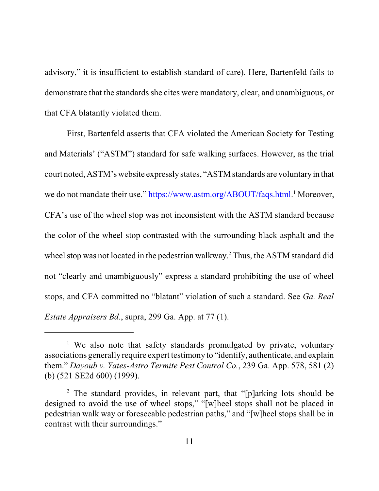advisory," it is insufficient to establish standard of care). Here, Bartenfeld fails to demonstrate that the standards she cites were mandatory, clear, and unambiguous, or that CFA blatantly violated them.

First, Bartenfeld asserts that CFA violated the American Society for Testing and Materials' ("ASTM") standard for safe walking surfaces. However, as the trial court noted, ASTM's website expressly states, "ASTM standards are voluntary in that we do not mandate their use."<https://www.astm.org/ABOUT/faqs.html>.<sup>1</sup> Moreover, CFA's use of the wheel stop was not inconsistent with the ASTM standard because the color of the wheel stop contrasted with the surrounding black asphalt and the wheel stop was not located in the pedestrian walkway.<sup>2</sup> Thus, the ASTM standard did not "clearly and unambiguously" express a standard prohibiting the use of wheel stops, and CFA committed no "blatant" violation of such a standard. See *Ga. Real Estate Appraisers Bd.*, supra, 299 Ga. App. at 77 (1).

<sup>&</sup>lt;sup>1</sup> We also note that safety standards promulgated by private, voluntary associations generally require expert testimony to "identify, authenticate, and explain them." *Dayoub v. Yates-Astro Termite Pest Control Co.*, 239 Ga. App. 578, 581 (2) (b) (521 SE2d 600) (1999).

<sup>&</sup>lt;sup>2</sup> The standard provides, in relevant part, that "[p]arking lots should be designed to avoid the use of wheel stops," "[w]heel stops shall not be placed in pedestrian walk way or foreseeable pedestrian paths," and "[w]heel stops shall be in contrast with their surroundings."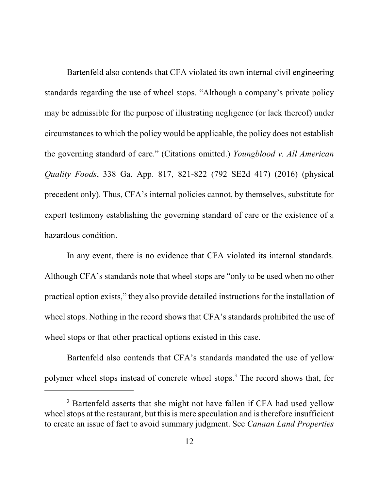Bartenfeld also contends that CFA violated its own internal civil engineering standards regarding the use of wheel stops. "Although a company's private policy may be admissible for the purpose of illustrating negligence (or lack thereof) under circumstances to which the policy would be applicable, the policy does not establish the governing standard of care." (Citations omitted.) *Youngblood v. All American Quality Foods*, 338 Ga. App. 817, 821-822 (792 SE2d 417) (2016) (physical precedent only). Thus, CFA's internal policies cannot, by themselves, substitute for expert testimony establishing the governing standard of care or the existence of a hazardous condition.

In any event, there is no evidence that CFA violated its internal standards. Although CFA's standards note that wheel stops are "only to be used when no other practical option exists," they also provide detailed instructions for the installation of wheel stops. Nothing in the record shows that CFA's standards prohibited the use of wheel stops or that other practical options existed in this case.

Bartenfeld also contends that CFA's standards mandated the use of yellow polymer wheel stops instead of concrete wheel stops. <sup>3</sup> The record shows that, for

<sup>&</sup>lt;sup>3</sup> Bartenfeld asserts that she might not have fallen if CFA had used yellow wheel stops at the restaurant, but this is mere speculation and is therefore insufficient to create an issue of fact to avoid summary judgment. See *Canaan Land Properties*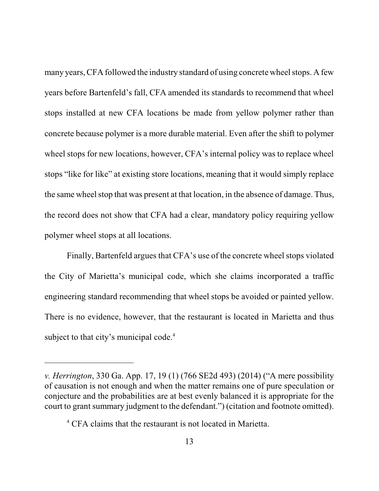many years, CFA followed the industry standard of using concrete wheel stops. A few years before Bartenfeld's fall, CFA amended its standards to recommend that wheel stops installed at new CFA locations be made from yellow polymer rather than concrete because polymer is a more durable material. Even after the shift to polymer wheel stops for new locations, however, CFA's internal policy was to replace wheel stops "like for like" at existing store locations, meaning that it would simply replace the same wheel stop that was present at that location, in the absence of damage. Thus, the record does not show that CFA had a clear, mandatory policy requiring yellow polymer wheel stops at all locations.

Finally, Bartenfeld argues that CFA's use of the concrete wheel stops violated the City of Marietta's municipal code, which she claims incorporated a traffic engineering standard recommending that wheel stops be avoided or painted yellow. There is no evidence, however, that the restaurant is located in Marietta and thus subject to that city's municipal code.<sup>4</sup>

*v. Herrington*, 330 Ga. App. 17, 19 (1) (766 SE2d 493) (2014) ("A mere possibility of causation is not enough and when the matter remains one of pure speculation or conjecture and the probabilities are at best evenly balanced it is appropriate for the court to grant summary judgment to the defendant.") (citation and footnote omitted).

<sup>&</sup>lt;sup>4</sup> CFA claims that the restaurant is not located in Marietta.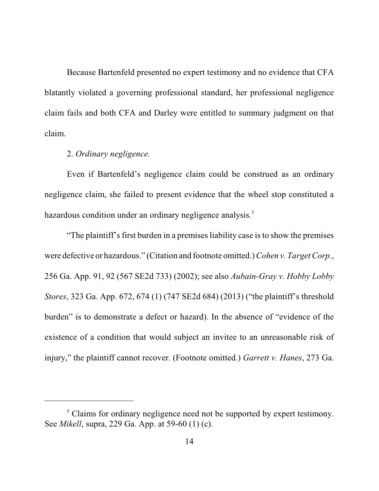Because Bartenfeld presented no expert testimony and no evidence that CFA blatantly violated a governing professional standard, her professional negligence claim fails and both CFA and Darley were entitled to summary judgment on that claim.

## 2. *Ordinary negligence.*

Even if Bartenfeld's negligence claim could be construed as an ordinary negligence claim, she failed to present evidence that the wheel stop constituted a hazardous condition under an ordinary negligence analysis.<sup>5</sup>

"The plaintiff's first burden in a premises liability case is to show the premises were defective or hazardous." (Citation and footnote omitted.) *Cohen v. Target Corp.*, 256 Ga. App. 91, 92 (567 SE2d 733) (2002); see also *Aubain-Gray v. Hobby Lobby Stores*, 323 Ga. App. 672, 674 (1) (747 SE2d 684) (2013) ("the plaintiff's threshold burden" is to demonstrate a defect or hazard). In the absence of "evidence of the existence of a condition that would subject an invitee to an unreasonable risk of injury," the plaintiff cannot recover. (Footnote omitted.) *Garrett v. Hanes*, 273 Ga.

<sup>&</sup>lt;sup>5</sup> Claims for ordinary negligence need not be supported by expert testimony. See *Mikell*, supra, 229 Ga. App. at 59-60 (1) (c).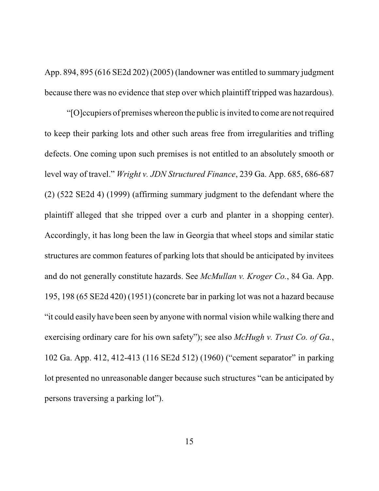App. 894, 895 (616 SE2d 202) (2005) (landowner was entitled to summary judgment because there was no evidence that step over which plaintiff tripped was hazardous).

"[O]ccupiers of premises whereon the public isinvited to come are notrequired to keep their parking lots and other such areas free from irregularities and trifling defects. One coming upon such premises is not entitled to an absolutely smooth or level way of travel." *Wright v. JDN Structured Finance*, 239 Ga. App. 685, 686-687 (2) (522 SE2d 4) (1999) (affirming summary judgment to the defendant where the plaintiff alleged that she tripped over a curb and planter in a shopping center). Accordingly, it has long been the law in Georgia that wheel stops and similar static structures are common features of parking lots that should be anticipated by invitees and do not generally constitute hazards. See *McMullan v. Kroger Co.*, 84 Ga. App. 195, 198 (65 SE2d 420) (1951) (concrete bar in parking lot was not a hazard because "it could easily have been seen by anyone with normal vision while walking there and exercising ordinary care for his own safety"); see also *McHugh v. Trust Co. of Ga.*, 102 Ga. App. 412, 412-413 (116 SE2d 512) (1960) ("cement separator" in parking lot presented no unreasonable danger because such structures "can be anticipated by persons traversing a parking lot").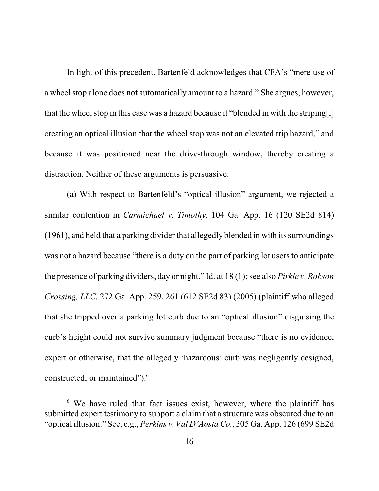In light of this precedent, Bartenfeld acknowledges that CFA's "mere use of a wheel stop alone does not automatically amount to a hazard." She argues, however, that the wheel stop in this case was a hazard because it "blended in with the striping. creating an optical illusion that the wheel stop was not an elevated trip hazard," and because it was positioned near the drive-through window, thereby creating a distraction. Neither of these arguments is persuasive.

(a) With respect to Bartenfeld's "optical illusion" argument, we rejected a similar contention in *Carmichael v. Timothy*, 104 Ga. App. 16 (120 SE2d 814)  $(1961)$ , and held that a parking divider that allegedly blended in with its surroundings was not a hazard because "there is a duty on the part of parking lot users to anticipate the presence of parking dividers, day or night." Id. at 18(1); see also *Pirkle v. Robson Crossing, LLC*, 272 Ga. App. 259, 261 (612 SE2d 83) (2005) (plaintiff who alleged that she tripped over a parking lot curb due to an "optical illusion" disguising the curb's height could not survive summary judgment because "there is no evidence, expert or otherwise, that the allegedly 'hazardous' curb was negligently designed, constructed, or maintained").<sup>6</sup>

<sup>&</sup>lt;sup>6</sup> We have ruled that fact issues exist, however, where the plaintiff has submitted expert testimony to support a claim that a structure was obscured due to an "optical illusion." See, e.g., *Perkins v. Val D'Aosta Co.*, 305 Ga. App. 126 (699 SE2d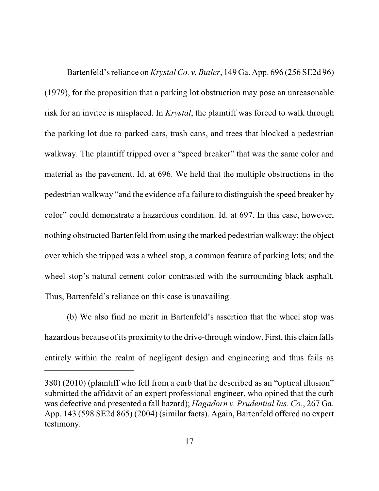Bartenfeld'sreliance on*KrystalCo. v. Butler*, 149 Ga. App. 696 (256 SE2d 96) (1979), for the proposition that a parking lot obstruction may pose an unreasonable risk for an invitee is misplaced. In *Krystal*, the plaintiff was forced to walk through the parking lot due to parked cars, trash cans, and trees that blocked a pedestrian walkway. The plaintiff tripped over a "speed breaker" that was the same color and material as the pavement. Id. at 696. We held that the multiple obstructions in the pedestrian walkway "and the evidence of a failure to distinguish the speed breaker by color" could demonstrate a hazardous condition. Id. at 697. In this case, however, nothing obstructed Bartenfeld from using the marked pedestrian walkway; the object over which she tripped was a wheel stop, a common feature of parking lots; and the wheel stop's natural cement color contrasted with the surrounding black asphalt. Thus, Bartenfeld's reliance on this case is unavailing.

(b) We also find no merit in Bartenfeld's assertion that the wheel stop was hazardous because of its proximity to the drive-through window. First, this claim falls entirely within the realm of negligent design and engineering and thus fails as

<sup>380) (2010) (</sup>plaintiff who fell from a curb that he described as an "optical illusion" submitted the affidavit of an expert professional engineer, who opined that the curb was defective and presented a fall hazard); *Hagadorn v. Prudential Ins. Co.*, 267 Ga. App. 143 (598 SE2d 865) (2004) (similar facts). Again, Bartenfeld offered no expert testimony.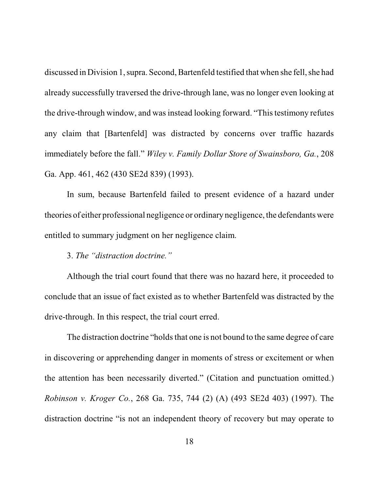discussed in Division 1, supra. Second, Bartenfeld testified that when she fell, she had already successfully traversed the drive-through lane, was no longer even looking at the drive-through window, and was instead looking forward. "This testimony refutes any claim that [Bartenfeld] was distracted by concerns over traffic hazards immediately before the fall." *Wiley v. Family Dollar Store of Swainsboro, Ga.*, 208 Ga. App. 461, 462 (430 SE2d 839) (1993).

In sum, because Bartenfeld failed to present evidence of a hazard under theories of either professional negligence or ordinary negligence, the defendants were entitled to summary judgment on her negligence claim.

3. *The "distraction doctrine."*

Although the trial court found that there was no hazard here, it proceeded to conclude that an issue of fact existed as to whether Bartenfeld was distracted by the drive-through. In this respect, the trial court erred.

The distraction doctrine "holds that one is not bound to the same degree of care in discovering or apprehending danger in moments of stress or excitement or when the attention has been necessarily diverted." (Citation and punctuation omitted.) *Robinson v. Kroger Co.*, 268 Ga. 735, 744 (2) (A) (493 SE2d 403) (1997). The distraction doctrine "is not an independent theory of recovery but may operate to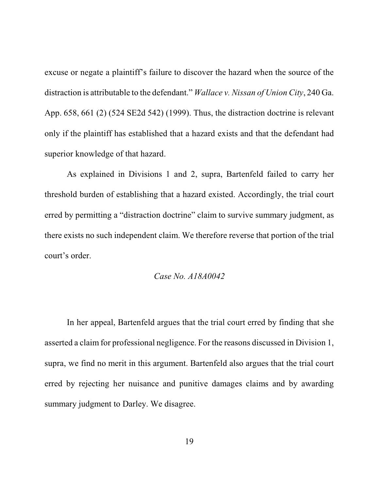excuse or negate a plaintiff's failure to discover the hazard when the source of the distraction is attributable to the defendant." *Wallace v. Nissan of Union City*, 240 Ga. App. 658, 661 (2) (524 SE2d 542) (1999). Thus, the distraction doctrine is relevant only if the plaintiff has established that a hazard exists and that the defendant had superior knowledge of that hazard.

As explained in Divisions 1 and 2, supra, Bartenfeld failed to carry her threshold burden of establishing that a hazard existed. Accordingly, the trial court erred by permitting a "distraction doctrine" claim to survive summary judgment, as there exists no such independent claim. We therefore reverse that portion of the trial court's order.

#### *Case No. A18A0042*

In her appeal, Bartenfeld argues that the trial court erred by finding that she asserted a claim for professional negligence. For the reasons discussed in Division 1, supra, we find no merit in this argument. Bartenfeld also argues that the trial court erred by rejecting her nuisance and punitive damages claims and by awarding summary judgment to Darley. We disagree.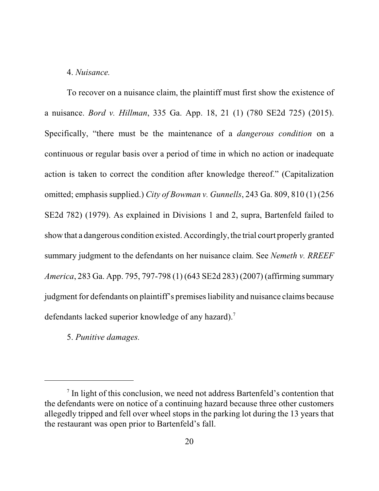#### 4. *Nuisance.*

To recover on a nuisance claim, the plaintiff must first show the existence of a nuisance. *Bord v. Hillman*, 335 Ga. App. 18, 21 (1) (780 SE2d 725) (2015). Specifically, "there must be the maintenance of a *dangerous condition* on a continuous or regular basis over a period of time in which no action or inadequate action is taken to correct the condition after knowledge thereof." (Capitalization omitted; emphasis supplied.) *City of Bowman v. Gunnells*, 243 Ga. 809, 810 (1) (256 SE2d 782) (1979). As explained in Divisions 1 and 2, supra, Bartenfeld failed to show that a dangerous condition existed. Accordingly, the trial court properly granted summary judgment to the defendants on her nuisance claim. See *Nemeth v. RREEF America*, 283 Ga. App. 795, 797-798 (1) (643 SE2d 283) (2007) (affirming summary judgment for defendants on plaintiff's premisesliability and nuisance claims because defendants lacked superior knowledge of any hazard).<sup>7</sup>

5. *Punitive damages.*

<sup>&</sup>lt;sup>7</sup> In light of this conclusion, we need not address Bartenfeld's contention that the defendants were on notice of a continuing hazard because three other customers allegedly tripped and fell over wheel stops in the parking lot during the 13 years that the restaurant was open prior to Bartenfeld's fall.